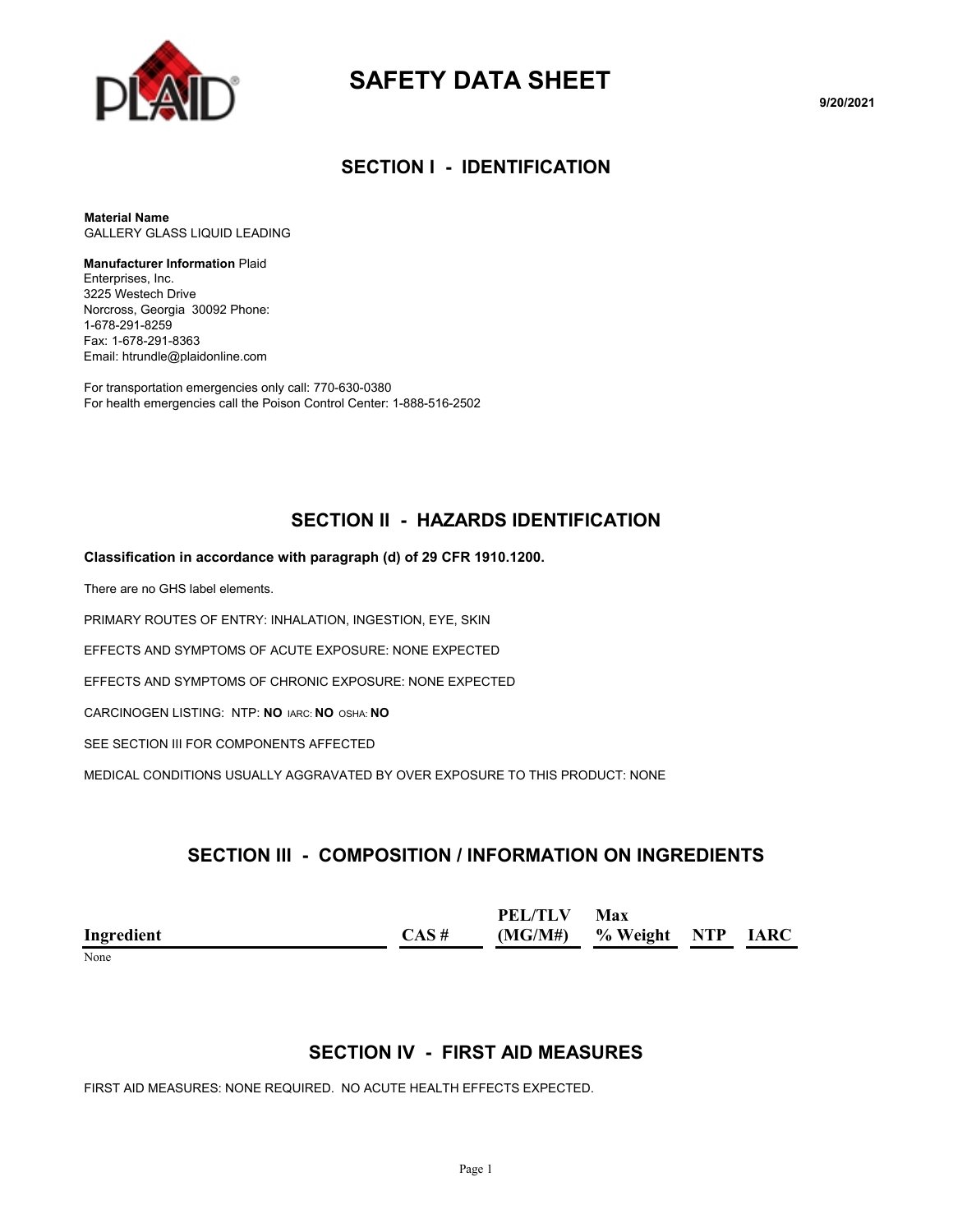

# **SAFETY DATA SHEET**

**9/20/2021**

#### **SECTION I - IDENTIFICATION**

**Material Name** GALLERY GLASS LIQUID LEADING

#### **Manufacturer Information** Plaid

Enterprises, Inc. 3225 Westech Drive Norcross, Georgia 30092 Phone: 1-678-291-8259 Fax: 1-678-291-8363 Email: htrundle@plaidonline.com

For transportation emergencies only call: 770-630-0380 For health emergencies call the Poison Control Center: 1-888-516-2502

# **SECTION II - HAZARDS IDENTIFICATION**

#### **Classification in accordance with paragraph (d) of 29 CFR 1910.1200.**

There are no GHS label elements.

PRIMARY ROUTES OF ENTRY: INHALATION, INGESTION, EYE, SKIN

EFFECTS AND SYMPTOMS OF ACUTE EXPOSURE: NONE EXPECTED

EFFECTS AND SYMPTOMS OF CHRONIC EXPOSURE: NONE EXPECTED

CARCINOGEN LISTING: NTP: **NO** IARC: **NO** OSHA: **NO**

SEE SECTION III FOR COMPONENTS AFFECTED

MEDICAL CONDITIONS USUALLY AGGRAVATED BY OVER EXPOSURE TO THIS PRODUCT: NONE

### **SECTION III - COMPOSITION / INFORMATION ON INGREDIENTS**

|            |       | PEL/TLV | Max                         |  |
|------------|-------|---------|-----------------------------|--|
| Ingredient | CAS # |         | $(MG/M#)$ % Weight NTP IARC |  |
| $ -$       |       |         |                             |  |

#### None

#### **SECTION IV - FIRST AID MEASURES**

FIRST AID MEASURES: NONE REQUIRED. NO ACUTE HEALTH EFFECTS EXPECTED.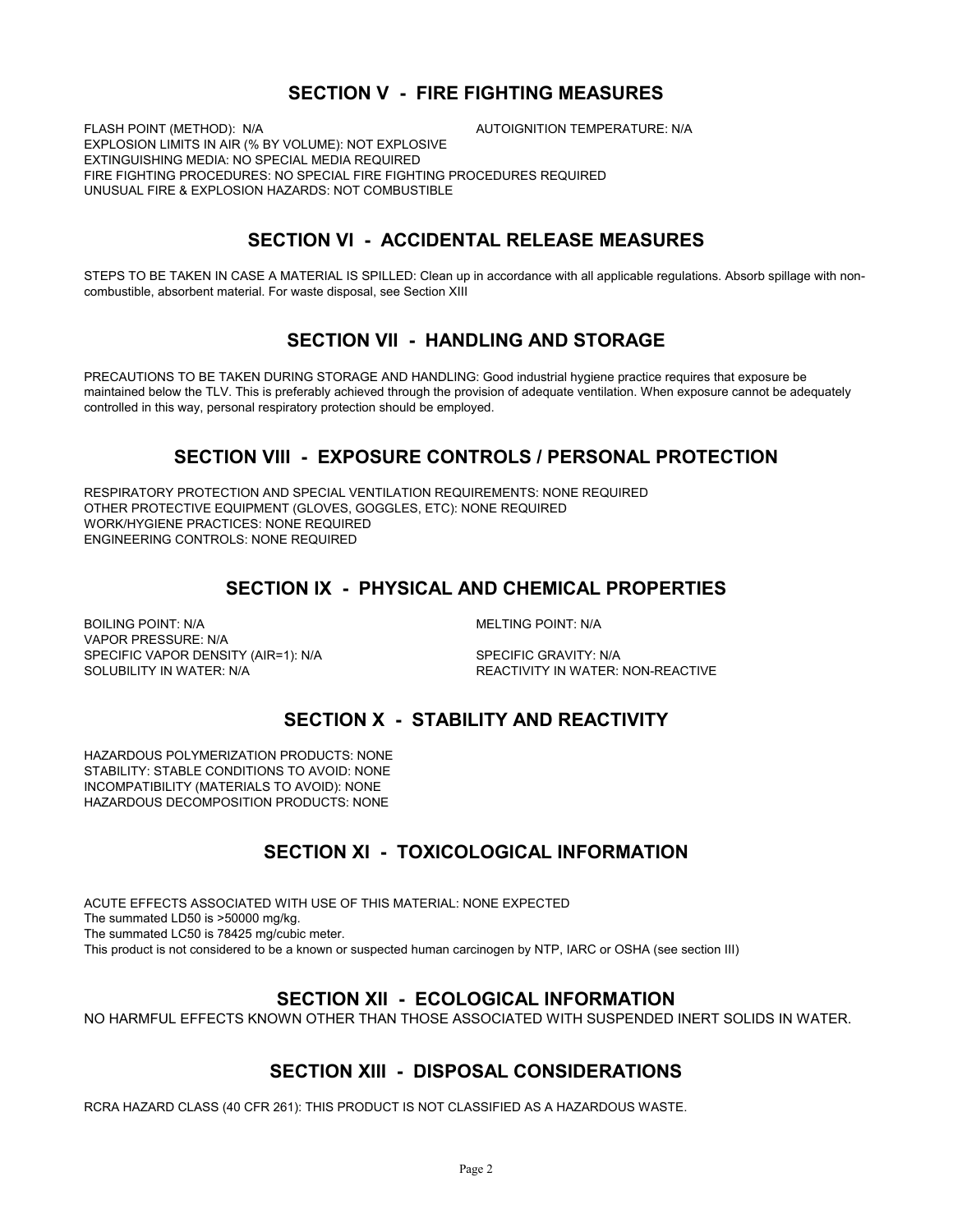# **SECTION V - FIRE FIGHTING MEASURES**

FLASH POINT (METHOD): N/A **AUTOIGNITION TEMPERATURE: N/A** EXPLOSION LIMITS IN AIR (% BY VOLUME): NOT EXPLOSIVE EXTINGUISHING MEDIA: NO SPECIAL MEDIA REQUIRED FIRE FIGHTING PROCEDURES: NO SPECIAL FIRE FIGHTING PROCEDURES REQUIRED UNUSUAL FIRE & EXPLOSION HAZARDS: NOT COMBUSTIBLE

# **SECTION VI - ACCIDENTAL RELEASE MEASURES**

STEPS TO BE TAKEN IN CASE A MATERIAL IS SPILLED: Clean up in accordance with all applicable regulations. Absorb spillage with noncombustible, absorbent material. For waste disposal, see Section XIII

### **SECTION VII - HANDLING AND STORAGE**

PRECAUTIONS TO BE TAKEN DURING STORAGE AND HANDLING: Good industrial hygiene practice requires that exposure be maintained below the TLV. This is preferably achieved through the provision of adequate ventilation. When exposure cannot be adequately controlled in this way, personal respiratory protection should be employed.

# **SECTION VIII - EXPOSURE CONTROLS / PERSONAL PROTECTION**

RESPIRATORY PROTECTION AND SPECIAL VENTILATION REQUIREMENTS: NONE REQUIRED OTHER PROTECTIVE EQUIPMENT (GLOVES, GOGGLES, ETC): NONE REQUIRED WORK/HYGIENE PRACTICES: NONE REQUIRED ENGINEERING CONTROLS: NONE REQUIRED

# **SECTION IX - PHYSICAL AND CHEMICAL PROPERTIES**

BOILING POINT: N/A GOILING POINT: N/A VAPOR PRESSURE: N/A SPECIFIC VAPOR DENSITY (AIR=1): N/A SPECIFIC GRAVITY: N/A SOLUBILITY IN WATER: N/A REACTIVITY IN WATER: NON-REACTIVE

# **SECTION X - STABILITY AND REACTIVITY**

HAZARDOUS POLYMERIZATION PRODUCTS: NONE STABILITY: STABLE CONDITIONS TO AVOID: NONE INCOMPATIBILITY (MATERIALS TO AVOID): NONE HAZARDOUS DECOMPOSITION PRODUCTS: NONE

# **SECTION XI - TOXICOLOGICAL INFORMATION**

ACUTE EFFECTS ASSOCIATED WITH USE OF THIS MATERIAL: NONE EXPECTED The summated LD50 is >50000 mg/kg. The summated LC50 is 78425 mg/cubic meter. This product is not considered to be a known or suspected human carcinogen by NTP, IARC or OSHA (see section III)

### **SECTION XII - ECOLOGICAL INFORMATION**

NO HARMFUL EFFECTS KNOWN OTHER THAN THOSE ASSOCIATED WITH SUSPENDED INERT SOLIDS IN WATER.

### **SECTION XIII - DISPOSAL CONSIDERATIONS**

RCRA HAZARD CLASS (40 CFR 261): THIS PRODUCT IS NOT CLASSIFIED AS A HAZARDOUS WASTE.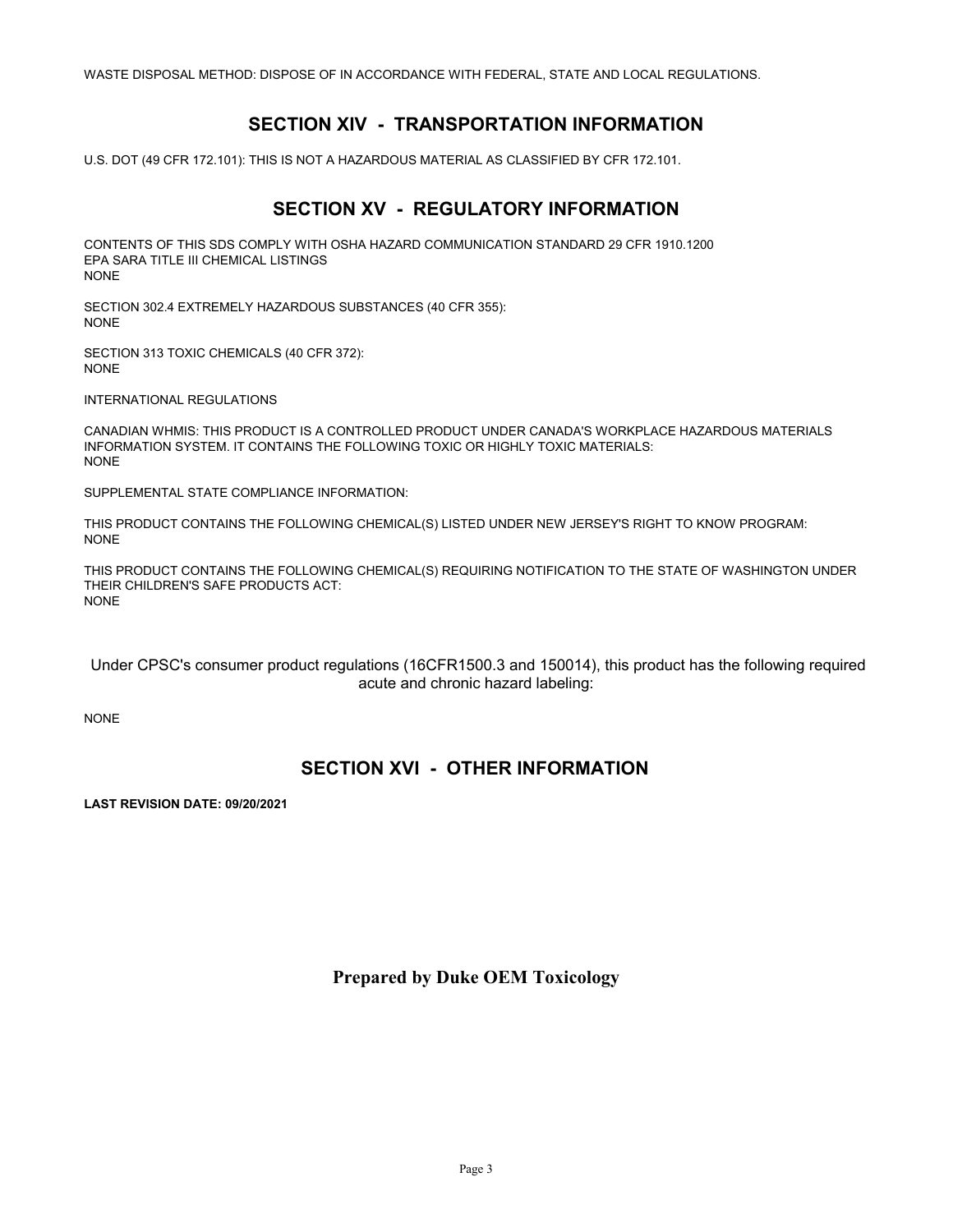WASTE DISPOSAL METHOD: DISPOSE OF IN ACCORDANCE WITH FEDERAL, STATE AND LOCAL REGULATIONS.

# **SECTION XIV - TRANSPORTATION INFORMATION**

U.S. DOT (49 CFR 172.101): THIS IS NOT A HAZARDOUS MATERIAL AS CLASSIFIED BY CFR 172.101.

# **SECTION XV - REGULATORY INFORMATION**

CONTENTS OF THIS SDS COMPLY WITH OSHA HAZARD COMMUNICATION STANDARD 29 CFR 1910.1200 EPA SARA TITLE III CHEMICAL LISTINGS NONE

SECTION 302.4 EXTREMELY HAZARDOUS SUBSTANCES (40 CFR 355): NONE

SECTION 313 TOXIC CHEMICALS (40 CFR 372): NONE

INTERNATIONAL REGULATIONS

CANADIAN WHMIS: THIS PRODUCT IS A CONTROLLED PRODUCT UNDER CANADA'S WORKPLACE HAZARDOUS MATERIALS INFORMATION SYSTEM. IT CONTAINS THE FOLLOWING TOXIC OR HIGHLY TOXIC MATERIALS: NONE

SUPPLEMENTAL STATE COMPLIANCE INFORMATION:

THIS PRODUCT CONTAINS THE FOLLOWING CHEMICAL(S) LISTED UNDER NEW JERSEY'S RIGHT TO KNOW PROGRAM: NONE

THIS PRODUCT CONTAINS THE FOLLOWING CHEMICAL(S) REQUIRING NOTIFICATION TO THE STATE OF WASHINGTON UNDER THEIR CHILDREN'S SAFE PRODUCTS ACT: NONE

 Under CPSC's consumer product regulations (16CFR1500.3 and 150014), this product has the following required acute and chronic hazard labeling:

NONE

# **SECTION XVI - OTHER INFORMATION**

**LAST REVISION DATE: 09/20/2021**

**Prepared by Duke OEM Toxicology**